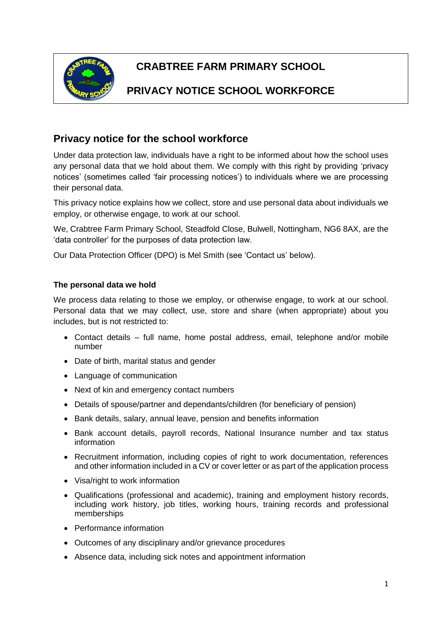

# **CRABTREE FARM PRIMARY SCHOOL**

## **PRIVACY NOTICE SCHOOL WORKFORCE**

## **Privacy notice for the school workforce**

Under data protection law, individuals have a right to be informed about how the school uses any personal data that we hold about them. We comply with this right by providing 'privacy notices' (sometimes called 'fair processing notices') to individuals where we are processing their personal data.

This privacy notice explains how we collect, store and use personal data about individuals we employ, or otherwise engage, to work at our school.

We, Crabtree Farm Primary School, Steadfold Close, Bulwell, Nottingham, NG6 8AX, are the 'data controller' for the purposes of data protection law.

Our Data Protection Officer (DPO) is Mel Smith (see 'Contact us' below).

## **The personal data we hold**

We process data relating to those we employ, or otherwise engage, to work at our school. Personal data that we may collect, use, store and share (when appropriate) about you includes, but is not restricted to:

- Contact details full name, home postal address, email, telephone and/or mobile number
- Date of birth, marital status and gender
- Language of communication
- Next of kin and emergency contact numbers
- Details of spouse/partner and dependants/children (for beneficiary of pension)
- Bank details, salary, annual leave, pension and benefits information
- Bank account details, payroll records, National Insurance number and tax status information
- Recruitment information, including copies of right to work documentation, references and other information included in a CV or cover letter or as part of the application process
- Visa/right to work information
- Qualifications (professional and academic), training and employment history records, including work history, job titles, working hours, training records and professional memberships
- Performance information
- Outcomes of any disciplinary and/or grievance procedures
- Absence data, including sick notes and appointment information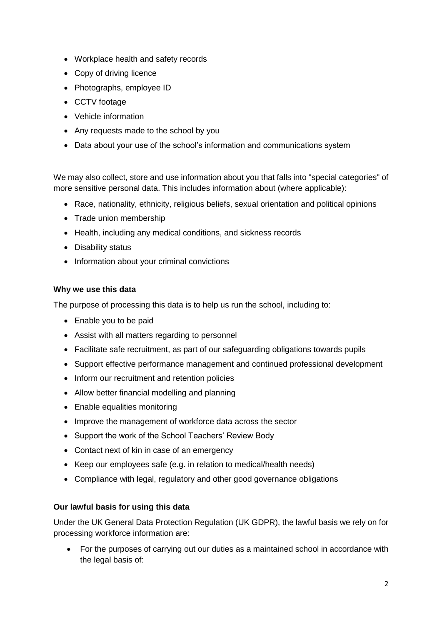- Workplace health and safety records
- Copy of driving licence
- Photographs, employee ID
- CCTV footage
- Vehicle information
- Any requests made to the school by you
- Data about your use of the school's information and communications system

We may also collect, store and use information about you that falls into "special categories" of more sensitive personal data. This includes information about (where applicable):

- Race, nationality, ethnicity, religious beliefs, sexual orientation and political opinions
- Trade union membership
- Health, including any medical conditions, and sickness records
- Disability status
- Information about your criminal convictions

## **Why we use this data**

The purpose of processing this data is to help us run the school, including to:

- Enable you to be paid
- Assist with all matters regarding to personnel
- Facilitate safe recruitment, as part of our safeguarding obligations towards pupils
- Support effective performance management and continued professional development
- Inform our recruitment and retention policies
- Allow better financial modelling and planning
- Enable equalities monitoring
- Improve the management of workforce data across the sector
- Support the work of the School Teachers' Review Body
- Contact next of kin in case of an emergency
- Keep our employees safe (e.g. in relation to medical/health needs)
- Compliance with legal, regulatory and other good governance obligations

## **Our lawful basis for using this data**

Under the UK General Data Protection Regulation (UK GDPR), the lawful basis we rely on for processing workforce information are:

• For the purposes of carrying out our duties as a maintained school in accordance with the legal basis of: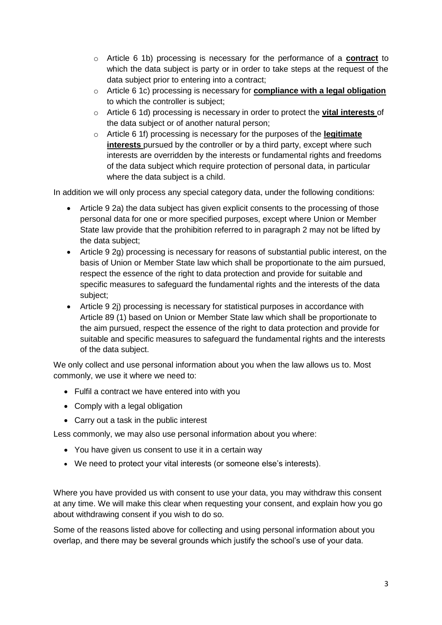- o Article 6 1b) processing is necessary for the performance of a **contract** to which the data subject is party or in order to take steps at the request of the data subject prior to entering into a contract;
- o Article 6 1c) processing is necessary for **compliance with a legal obligation** to which the controller is subject;
- o Article 6 1d) processing is necessary in order to protect the **vital interests** of the data subject or of another natural person;
- o Article 6 1f) processing is necessary for the purposes of the **legitimate interests** pursued by the controller or by a third party, except where such interests are overridden by the interests or fundamental rights and freedoms of the data subject which require protection of personal data, in particular where the data subject is a child.

In addition we will only process any special category data, under the following conditions:

- Article 9 2a) the data subject has given explicit consents to the processing of those personal data for one or more specified purposes, except where Union or Member State law provide that the prohibition referred to in paragraph 2 may not be lifted by the data subject;
- Article 9 2g) processing is necessary for reasons of substantial public interest, on the basis of Union or Member State law which shall be proportionate to the aim pursued, respect the essence of the right to data protection and provide for suitable and specific measures to safeguard the fundamental rights and the interests of the data subject;
- Article 9 2j) processing is necessary for statistical purposes in accordance with Article 89 (1) based on Union or Member State law which shall be proportionate to the aim pursued, respect the essence of the right to data protection and provide for suitable and specific measures to safeguard the fundamental rights and the interests of the data subject.

We only collect and use personal information about you when the law allows us to. Most commonly, we use it where we need to:

- Fulfil a contract we have entered into with you
- Comply with a legal obligation
- Carry out a task in the public interest

Less commonly, we may also use personal information about you where:

- You have given us consent to use it in a certain way
- We need to protect your vital interests (or someone else's interests).

Where you have provided us with consent to use your data, you may withdraw this consent at any time. We will make this clear when requesting your consent, and explain how you go about withdrawing consent if you wish to do so.

Some of the reasons listed above for collecting and using personal information about you overlap, and there may be several grounds which justify the school's use of your data.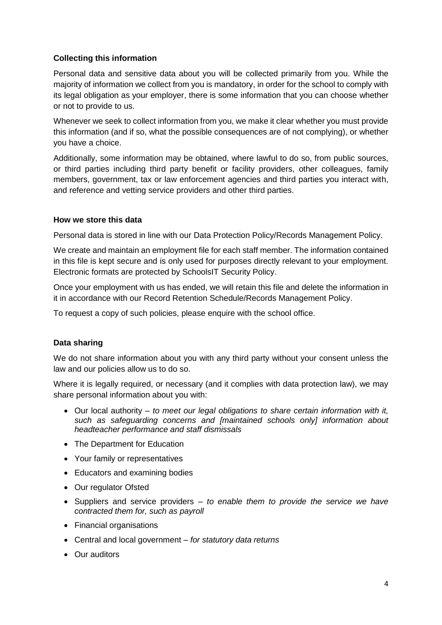## **Collecting this information**

Personal data and sensitive data about you will be collected primarily from you. While the majority of information we collect from you is mandatory, in order for the school to comply with its legal obligation as your employer, there is some information that you can choose whether or not to provide to us.

Whenever we seek to collect information from you, we make it clear whether you must provide this information (and if so, what the possible consequences are of not complying), or whether you have a choice.

Additionally, some information may be obtained, where lawful to do so, from public sources, or third parties including third party benefit or facility providers, other colleagues, family members, government, tax or law enforcement agencies and third parties you interact with, and reference and vetting service providers and other third parties.

#### **How we store this data**

Personal data is stored in line with our Data Protection Policy/Records Management Policy.

We create and maintain an employment file for each staff member. The information contained in this file is kept secure and is only used for purposes directly relevant to your employment. Electronic formats are protected by SchoolsIT Security Policy.

Once your employment with us has ended, we will retain this file and delete the information in it in accordance with our Record Retention Schedule/Records Management Policy.

To request a copy of such policies, please enquire with the school office.

## **Data sharing**

We do not share information about you with any third party without your consent unless the law and our policies allow us to do so.

Where it is legally required, or necessary (and it complies with data protection law), we may share personal information about you with:

- Our local authority *to meet our legal obligations to share certain information with it, such as safeguarding concerns and [maintained schools only] information about headteacher performance and staff dismissals*
- The Department for Education
- Your family or representatives
- Educators and examining bodies
- Our regulator Ofsted
- Suppliers and service providers *to enable them to provide the service we have contracted them for, such as payroll*
- Financial organisations
- Central and local government *for statutory data returns*
- Our auditors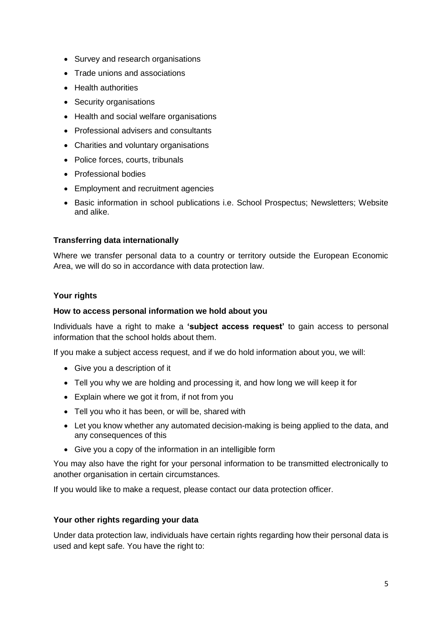- Survey and research organisations
- Trade unions and associations
- Health authorities
- Security organisations
- Health and social welfare organisations
- Professional advisers and consultants
- Charities and voluntary organisations
- Police forces, courts, tribunals
- Professional bodies
- Employment and recruitment agencies
- Basic information in school publications i.e. School Prospectus: Newsletters: Website and alike.

#### **Transferring data internationally**

Where we transfer personal data to a country or territory outside the European Economic Area, we will do so in accordance with data protection law.

#### **Your rights**

#### **How to access personal information we hold about you**

Individuals have a right to make a **'subject access request'** to gain access to personal information that the school holds about them.

If you make a subject access request, and if we do hold information about you, we will:

- Give you a description of it
- Tell you why we are holding and processing it, and how long we will keep it for
- Explain where we got it from, if not from you
- Tell you who it has been, or will be, shared with
- Let you know whether any automated decision-making is being applied to the data, and any consequences of this
- Give you a copy of the information in an intelligible form

You may also have the right for your personal information to be transmitted electronically to another organisation in certain circumstances.

If you would like to make a request, please contact our data protection officer.

#### **Your other rights regarding your data**

Under data protection law, individuals have certain rights regarding how their personal data is used and kept safe. You have the right to: